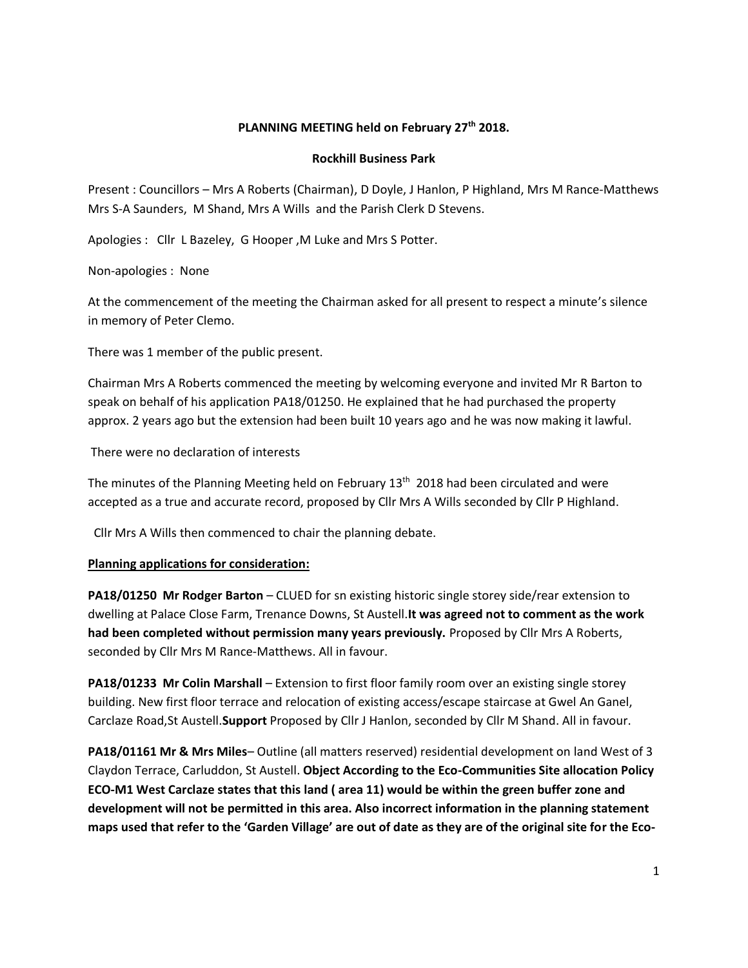# **PLANNING MEETING held on February 27th 2018.**

#### **Rockhill Business Park**

Present : Councillors – Mrs A Roberts (Chairman), D Doyle, J Hanlon, P Highland, Mrs M Rance-Matthews Mrs S-A Saunders, M Shand, Mrs A Wills and the Parish Clerk D Stevens.

Apologies : Cllr L Bazeley, G Hooper ,M Luke and Mrs S Potter.

Non-apologies : None

At the commencement of the meeting the Chairman asked for all present to respect a minute's silence in memory of Peter Clemo.

There was 1 member of the public present.

Chairman Mrs A Roberts commenced the meeting by welcoming everyone and invited Mr R Barton to speak on behalf of his application PA18/01250. He explained that he had purchased the property approx. 2 years ago but the extension had been built 10 years ago and he was now making it lawful.

There were no declaration of interests

The minutes of the Planning Meeting held on February  $13<sup>th</sup>$  2018 had been circulated and were accepted as a true and accurate record, proposed by Cllr Mrs A Wills seconded by Cllr P Highland.

Cllr Mrs A Wills then commenced to chair the planning debate.

## **Planning applications for consideration:**

**PA18/01250 Mr Rodger Barton** – CLUED for sn existing historic single storey side/rear extension to dwelling at Palace Close Farm, Trenance Downs, St Austell.**It was agreed not to comment as the work had been completed without permission many years previously.** Proposed by Cllr Mrs A Roberts, seconded by Cllr Mrs M Rance-Matthews. All in favour.

**PA18/01233 Mr Colin Marshall** – Extension to first floor family room over an existing single storey building. New first floor terrace and relocation of existing access/escape staircase at Gwel An Ganel, Carclaze Road,St Austell.**Support** Proposed by Cllr J Hanlon, seconded by Cllr M Shand. All in favour.

**PA18/01161 Mr & Mrs Miles**– Outline (all matters reserved) residential development on land West of 3 Claydon Terrace, Carluddon, St Austell. **Object According to the Eco-Communities Site allocation Policy ECO-M1 West Carclaze states that this land ( area 11) would be within the green buffer zone and development will not be permitted in this area. Also incorrect information in the planning statement maps used that refer to the 'Garden Village' are out of date as they are of the original site for the Eco-**